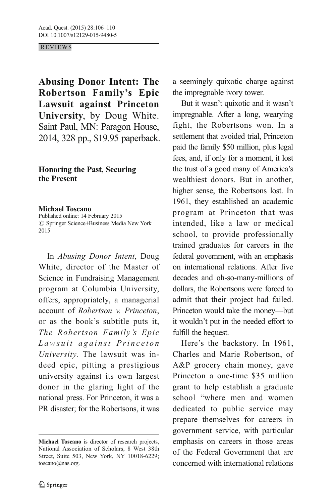## REVIEWS

Robertson Family's Epic<br>Lawsuit against Princeton University, by Doug White.<br>Saint Paul MN: Paragon House Saint Paul, MN: Paragon House, 2014, 328 pp., \$19.95 paperback.

## Honoring the Past, Securing

Published online: 14 February 2015  $\oslash$  Springer Science+Business Media New York 2015

In Abusing Donor Intent, Doug White, director of the Master of Science in Fundraising Management program at Columbia University, offers, appropriately, a managerial account of Robertson v. Princeton, or as the book's subtitle puts it, The Robertson Family's Epic University. The lawsuit was in-<br>dood onie, pitting a prostigious deed epic, pitting a prestigious university against its own largest donor in the glaring light of the national press. For Princeton, it was a PR disaster; for the Robertsons, it was

a seemingly quixotic charge against the impregnable ivory tower.

But it wasn't quixotic and it wasn't impregnable. After a long, wearying fight, the Robertsons won. In a settlement that avoided trial, Princeton paid the family \$50 million, plus legal fees, and, if only for a moment, it lost the trust of a good many of America's wealthiest donors. But in another, higher sense, the Robertsons lost. In 1961, they established an academic program at Princeton that was intended, like a law or medical school, to provide professionally trained graduates for careers in the federal government, with an emphasis on international relations. After five decades and oh-so-many-millions of dollars, the Robertsons were forced to admit that their project had failed. Princeton would take the money—but it wouldn't put in the needed effort to fulfill the bequest.

Here's the backstory. In 1961, Charles and Marie Robertson, of A&P grocery chain money, gave Princeton a one-time \$35 million grant to help establish a graduate school "where men and women dedicated to public service may prepare themselves for careers in government service, with particular emphasis on careers in those areas of the Federal Government that are concerned with international relations

Michael Toscano is director of research projects, National Association of Scholars, 8 West 38th Street, Suite 503, New York, NY 10018-6229; toscano@nas.org.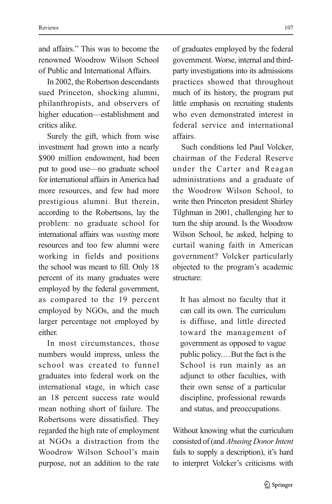and affairs." This was to become the renowned Woodrow Wilson School of Public and International Affairs.

In 2002, the Robertson descendants sued Princeton, shocking alumni, philanthropists, and observers of higher education—establishment and critics alike.

Surely the gift, which from wise investment had grown into a nearly \$900 million endowment, had been put to good use—no graduate school for international affairs in America had more resources, and few had more prestigious alumni. But therein, according to the Robertsons, lay the problem: no graduate school for international affairs was wasting more resources and too few alumni were working in fields and positions the school was meant to fill. Only 18 percent of its many graduates were employed by the federal government, as compared to the 19 percent employed by NGOs, and the much larger percentage not employed by either.

In most circumstances, those numbers would impress, unless the school was created to funnel graduates into federal work on the international stage, in which case an 18 percent success rate would mean nothing short of failure. The Robertsons were dissatisfied. They regarded the high rate of employment at NGOs a distraction from the Woodrow Wilson School's main purpose, not an addition to the rate

of graduates employed by the federal government. Worse, internal and thirdparty investigations into its admissions practices showed that throughout much of its history, the program put little emphasis on recruiting students who even demonstrated interest in

affairs. Such conditions led Paul Volcker, chairman of the Federal Reserve under the Carter and Reagan administrations and a graduate of the Woodrow Wilson School, to write then Princeton president Shirley Tilghman in 2001, challenging her to turn the ship around. Is the Woodrow Wilson School, he asked, helping to curtail waning faith in American government? Volcker particularly objected to the program's academic structure:

federal service and international

It has almost no faculty that it can call its own. The curriculum is diffuse, and little directed toward the management of government as opposed to vague public policy.…But the fact is the School is run mainly as an adjunct to other faculties, with their own sense of a particular discipline, professional rewards and status, and preoccupations.

Without knowing what the curriculum consisted of (and Abusing Donor Intent fails to supply a description), it's hard to interpret Volcker's criticisms with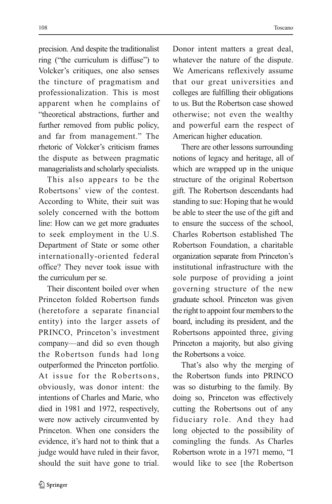precision. And despite the traditionalist ring ("the curriculum is diffuse") to Volcker's critiques, one also senses the tincture of pragmatism and professionalization. This is most apparent when he complains of "theoretical abstractions, further and further removed from public policy, and far from management." The rhetoric of Volcker's criticism frames the dispute as between pragmatic managerialists and scholarly specialists.

This also appears to be the Robertsons' view of the contest. According to White, their suit was solely concerned with the bottom line: How can we get more graduates to seek employment in the U.S. Department of State or some other internationally-oriented federal office? They never took issue with the curriculum per se.

Their discontent boiled over when Princeton folded Robertson funds (heretofore a separate financial entity) into the larger assets of PRINCO, Princeton's investment company—and did so even though the Robertson funds had long outperformed the Princeton portfolio. At issue for the Robertsons, obviously, was donor intent: the intentions of Charles and Marie, who died in 1981 and 1972, respectively, were now actively circumvented by Princeton. When one considers the evidence, it's hard not to think that a judge would have ruled in their favor, should the suit have gone to trial.

Donor intent matters a great deal, whatever the nature of the dispute. We Americans reflexively assume that our great universities and colleges are fulfilling their obligations to us. But the Robertson case showed otherwise; not even the wealthy and powerful earn the respect of American higher education.

There are other lessons surrounding notions of legacy and heritage, all of which are wrapped up in the unique structure of the original Robertson gift. The Robertson descendants had standing to sue: Hoping that he would be able to steer the use of the gift and to ensure the success of the school, Charles Robertson established The Robertson Foundation, a charitable organization separate from Princeton's institutional infrastructure with the sole purpose of providing a joint governing structure of the new graduate school. Princeton was given the right to appoint four members to the board, including its president, and the Robertsons appointed three, giving Princeton a majority, but also giving the Robertsons a voice.

That's also why the merging of the Robertson funds into PRINCO was so disturbing to the family. By doing so, Princeton was effectively cutting the Robertsons out of any fiduciary role. And they had long objected to the possibility of comingling the funds. As Charles Robertson wrote in a 1971 memo, "I would like to see [the Robertson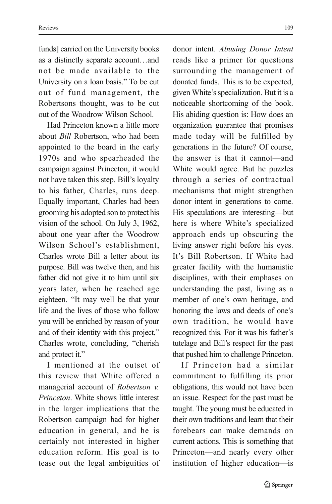funds] carried on the University books as a distinctly separate account…and not be made available to the University on a loan basis." To be cut out of fund management, the Robertsons thought, was to be cut out of the Woodrow Wilson School.

Had Princeton known a little more about Bill Robertson, who had been appointed to the board in the early 1970s and who spearheaded the campaign against Princeton, it would not have taken this step. Bill's loyalty to his father, Charles, runs deep. Equally important, Charles had been grooming his adopted son to protect his vision of the school. On July 3, 1962, about one year after the Woodrow Wilson School's establishment, Charles wrote Bill a letter about its purpose. Bill was twelve then, and his father did not give it to him until six years later, when he reached age eighteen. "It may well be that your life and the lives of those who follow you will be enriched by reason of your and of their identity with this project," Charles wrote, concluding, "cherish and protect it."

I mentioned at the outset of this review that White offered a managerial account of Robertson v. Princeton. White shows little interest in the larger implications that the Robertson campaign had for higher education in general, and he is certainly not interested in higher education reform. His goal is to tease out the legal ambiguities of

donor intent. Abusing Donor Intent reads like a primer for questions surrounding the management of donated funds. This is to be expected, given White's specialization. But it is a noticeable shortcoming of the book. His abiding question is: How does an organization guarantee that promises made today will be fulfilled by generations in the future? Of course, the answer is that it cannot—and White would agree. But he puzzles through a series of contractual mechanisms that might strengthen donor intent in generations to come. His speculations are interesting—but here is where White's specialized approach ends up obscuring the living answer right before his eyes. It's Bill Robertson. If White had greater facility with the humanistic disciplines, with their emphases on understanding the past, living as a member of one's own heritage, and honoring the laws and deeds of one's own tradition, he would have recognized this. For it was his father's tutelage and Bill's respect for the past that pushed him to challenge Princeton.

If Princeton had a similar commitment to fulfilling its prior obligations, this would not have been an issue. Respect for the past must be taught. The young must be educated in their own traditions and learn that their forebears can make demands on current actions. This is something that Princeton—and nearly every other institution of higher education—is